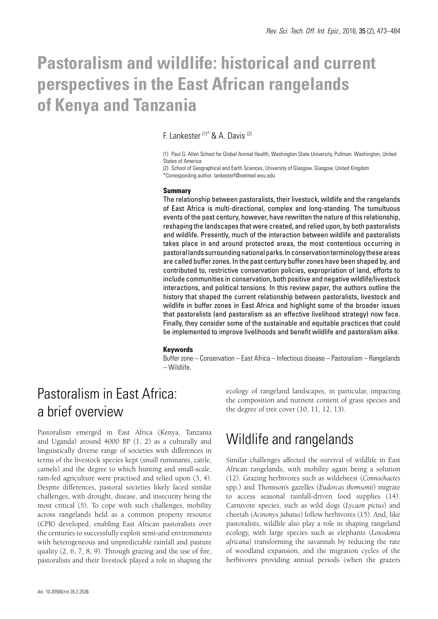# **Pastoralism and wildlife: historical and current perspectives in the East African rangelands of Kenya and Tanzania**

F. Lankester (1)\* & A. Davis (2)

(1) Paul G. Allen School for Global Animal Health, Washington State University, Pullman, Washington, United States of America

(2) School of Geographical and Earth Sciences, University of Glasgow, Glasgow, United Kingdom \*Corresponding author: lankesterf@vetmed.wsu.edu

#### **Summary**

The relationship between pastoralists, their livestock, wildlife and the rangelands of East Africa is multi-directional, complex and long-standing. The tumultuous events of the past century, however, have rewritten the nature of this relationship, reshaping the landscapes that were created, and relied upon, by both pastoralists and wildlife. Presently, much of the interaction between wildlife and pastoralists takes place in and around protected areas, the most contentious occurring in pastoral lands surrounding national parks. In conservation terminology these areas are called buffer zones. In the past century buffer zones have been shaped by, and contributed to, restrictive conservation policies, expropriation of land, efforts to include communities in conservation, both positive and negative wildlife/livestock interactions, and political tensions. In this review paper, the authors outline the history that shaped the current relationship between pastoralists, livestock and wildlife in buffer zones in East Africa and highlight some of the broader issues that pastoralists (and pastoralism as an effective livelihood strategy) now face. Finally, they consider some of the sustainable and equitable practices that could be implemented to improve livelihoods and benefit wildlife and pastoralism alike.

#### **Keywords**

Buffer zone – Conservation – East Africa – Infectious disease – Pastoralism – Rangelands – Wildlife.

# Pastoralism in East Africa: a brief overview

Pastoralism emerged in East Africa (Kenya, Tanzania and Uganda) around 4000 BP (1, 2) as a culturally and linguistically diverse range of societies with differences in terms of the livestock species kept (small ruminants, cattle, camels) and the degree to which hunting and small-scale, rain-fed agriculture were practised and relied upon (3, 4). Despite differences, pastoral societies likely faced similar challenges, with drought, disease, and insecurity being the most critical (5). To cope with such challenges, mobility across rangelands held as a common property resource (CPR) developed, enabling East African pastoralists over the centuries to successfully exploit semi-arid environments with heterogeneous and unpredictable rainfall and pasture quality (2, 6, 7, 8, 9). Through grazing and the use of fire, pastoralists and their livestock played a role in shaping the

the degree of tree cover (10, 11, 12, 13). Wildlife and rangelands

### Similar challenges affected the survival of wildlife in East African rangelands, with mobility again being a solution (12). Grazing herbivores such as wildebeest (*Connochaetes*  spp.) and Thomson's gazelles (*Eudorcas thomsonii*) migrate to access seasonal rainfall-driven food supplies (14). Carnivore species, such as wild dogs (*Lycaon pictus*) and cheetah (*Acinonyx jubatus*) follow herbivores (15). And, like pastoralists, wildlife also play a role in shaping rangeland ecology, with large species such as elephants (*Loxodonta africana*) transforming the savannah by reducing the rate of woodland expansion, and the migration cycles of the herbivores providing annual periods (when the grazers

ecology of rangeland landscapes, in particular, impacting the composition and nutrient content of grass species and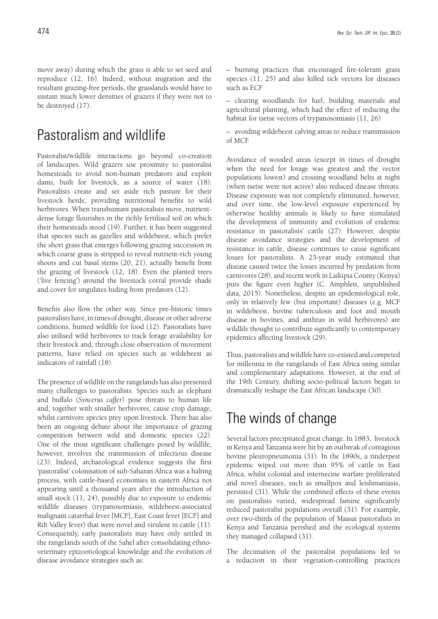move away) during which the grass is able to set seed and reproduce (12, 16). Indeed, without migration and the resultant grazing-free periods, the grasslands would have to sustain much lower densities of grazers if they were not to be destroyed (17).

### Pastoralism and wildlife

Pastoralist/wildlife interactions go beyond co-creation of landscapes. Wild grazers use proximity to pastoralist homesteads to avoid non-human predators and exploit dams, built for livestock, as a source of water (18). Pastoralists create and set aside rich pasture for their livestock herds, providing nutritional benefits to wild herbivores. When transhumant pastoralists move, nutrientdense forage flourishes in the richly fertilised soil on which their homesteads stood (19). Further, it has been suggested that species such as gazelles and wildebeest, which prefer the short grass that emerges following grazing succession in which coarse grass is stripped to reveal nutrient-rich young shoots and cut basal stems (20, 21), actually benefit from the grazing of livestock (12, 18). Even the planted trees ('live fencing') around the livestock corral provide shade and cover for ungulates hiding from predators (12).

Benefits also flow the other way. Since pre-historic times pastoralists have, in times of drought, disease or other adverse conditions, hunted wildlife for food (12). Pastoralists have also utilised wild herbivores to track forage availability for their livestock and, through close observation of movement patterns, have relied on species such as wildebeest as indicators of rainfall (18).

The presence of wildlife on the rangelands has also presented many challenges to pastoralists. Species such as elephant and buffalo (*Syncerus caffer*) pose threats to human life and, together with smaller herbivores, cause crop damage, whilst carnivore species prey upon livestock. There has also been an ongoing debate about the importance of grazing competition between wild and domestic species (22). One of the most significant challenges posed by wildlife, however, involves the transmission of infectious disease (23). Indeed, archaeological evidence suggests the first 'pastoralist' colonisation of sub-Saharan Africa was a halting process, with cattle-based economies in eastern Africa not appearing until a thousand years after the introduction of small stock (11, 24), possibly due to exposure to endemic wildlife diseases (trypanosomiasis, wildebeest-associated malignant catarrhal fever [MCF], East Coast fever [ECF] and Rift Valley fever) that were novel and virulent in cattle (11). Consequently, early pastoralists may have only settled in the rangelands south of the Sahel after consolidating ethnoveterinary epizootiological knowledge and the evolution of disease avoidance strategies such as:

– burning practices that encouraged fire-tolerant grass species (11, 25) and also killed tick vectors for diseases such as ECF

– clearing woodlands for fuel, building materials and agricultural planting, which had the effect of reducing the habitat for tsetse vectors of trypanosomiasis (11, 26)

– avoiding wildebeest calving areas to reduce transmission of MCF.

Avoidance of wooded areas (except in times of drought when the need for forage was greatest and the vector populations lowest) and crossing woodland belts at night (when tsetse were not active) also reduced disease threats. Disease exposure was not completely eliminated, however, and over time, the low-level exposure experienced by otherwise healthy animals is likely to have stimulated the development of immunity and evolution of endemic resistance in pastoralists' cattle (27). However, despite disease avoidance strategies and the development of resistance in cattle, disease continues to cause significant losses for pastoralists. A 23-year study estimated that disease caused twice the losses incurred by predation from carnivores (28), and recent work in Laikipia County (Kenya) puts the figure even higher (C. Amphlett, unpublished data*,* 2015). Nonetheless, despite an epidemiological role, only in relatively few (but important) diseases (e.g. MCF in wildebeest, bovine tuberculosis and foot and mouth disease in bovines, and anthrax in wild herbivores) are wildlife thought to contribute significantly to contemporary epidemics affecting livestock (29).

Thus, pastoralists and wildlife have co-existed and competed for millennia in the rangelands of East Africa using similar and complementary adaptations. However, at the end of the 19th Century, shifting socio-political factors began to dramatically reshape the East African landscape (30).

### The winds of change

Several factors precipitated great change. In 1883, livestock in Kenya and Tanzania were hit by an outbreak of contagious bovine pleuropneumonia (31). In the 1890s, a rinderpest epidemic wiped out more than 95% of cattle in East Africa, whilst colonial and internecine warfare proliferated and novel diseases, such as smallpox and leishmaniasis, persisted (31). While the combined effects of these events on pastoralists varied, widespread famine significantly reduced pastoralist populations overall (31). For example, over two-thirds of the population of Maasai pastoralists in Kenya and Tanzania perished and the ecological systems they managed collapsed (31).

The decimation of the pastoralist populations led to a reduction in their vegetation-controlling practices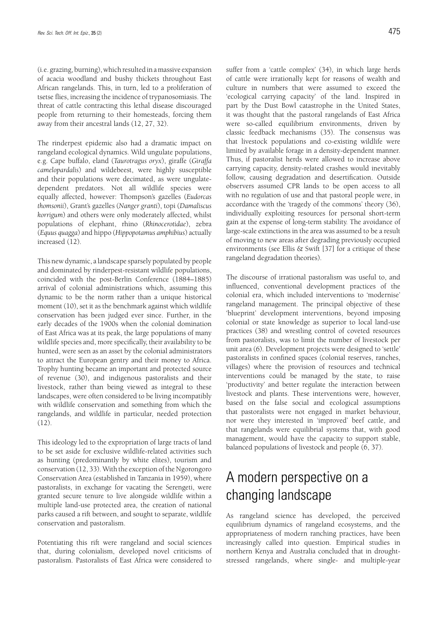(i.e. grazing, burning), which resulted in a massive expansion of acacia woodland and bushy thickets throughout East African rangelands. This, in turn, led to a proliferation of tsetse flies, increasing the incidence of trypanosomiasis. The threat of cattle contracting this lethal disease discouraged people from returning to their homesteads, forcing them away from their ancestral lands (12, 27, 32).

The rinderpest epidemic also had a dramatic impact on rangeland ecological dynamics. Wild ungulate populations, e.g. Cape buffalo, eland (*Taurotragus oryx*), giraffe (*Giraffa camelopardalis*) and wildebeest, were highly susceptible and their populations were decimated, as were ungulatedependent predators. Not all wildlife species were equally affected, however: Thompson's gazelles (*Eudorcas thomsonii*), Grant's gazelles (*Nanger granti*), topi (*Damaliscus korrigum*) and others were only moderately affected, whilst populations of elephant, rhino (*Rhinocerotidae*), zebra (*Equus quagga*) and hippo (*Hippopotamus amphibius*) actually increased (12).

This new dynamic, a landscape sparsely populated by people and dominated by rinderpest-resistant wildlife populations, coincided with the post-Berlin Conference (1884–1885) arrival of colonial administrations which, assuming this dynamic to be the norm rather than a unique historical moment (10), set it as the benchmark against which wildlife conservation has been judged ever since. Further, in the early decades of the 1900s when the colonial domination of East Africa was at its peak, the large populations of many wildlife species and, more specifically, their availability to be hunted, were seen as an asset by the colonial administrators to attract the European gentry and their money to Africa. Trophy hunting became an important and protected source of revenue (30), and indigenous pastoralists and their livestock, rather than being viewed as integral to these landscapes, were often considered to be living incompatibly with wildlife conservation and something from which the rangelands, and wildlife in particular, needed protection (12).

This ideology led to the expropriation of large tracts of land to be set aside for exclusive wildlife-related activities such as hunting (predominantly by white elites), tourism and conservation (12, 33). With the exception of the Ngorongoro Conservation Area (established in Tanzania in 1959), where pastoralists, in exchange for vacating the Serengeti, were granted secure tenure to live alongside wildlife within a multiple land-use protected area, the creation of national parks caused a rift between, and sought to separate, wildlife conservation and pastoralism.

Potentiating this rift were rangeland and social sciences that, during colonialism, developed novel criticisms of pastoralism. Pastoralists of East Africa were considered to

suffer from a 'cattle complex' (34), in which large herds of cattle were irrationally kept for reasons of wealth and culture in numbers that were assumed to exceed the 'ecological carrying capacity' of the land. Inspired in part by the Dust Bowl catastrophe in the United States, it was thought that the pastoral rangelands of East Africa were so-called equilibrium environments, driven by classic feedback mechanisms (35). The consensus was that livestock populations and co-existing wildlife were limited by available forage in a density-dependent manner. Thus, if pastoralist herds were allowed to increase above carrying capacity, density-related crashes would inevitably follow, causing degradation and desertification. Outside observers assumed CPR lands to be open access to all with no regulation of use and that pastoral people were, in accordance with the 'tragedy of the commons' theory (36), individually exploiting resources for personal short-term gain at the expense of long-term stability. The avoidance of large-scale extinctions in the area was assumed to be a result of moving to new areas after degrading previously occupied environments (see Ellis  $&$  Swift [37] for a critique of these rangeland degradation theories).

The discourse of irrational pastoralism was useful to, and influenced, conventional development practices of the colonial era, which included interventions to 'modernise' rangeland management. The principal objective of these 'blueprint' development interventions, beyond imposing colonial or state knowledge as superior to local land-use practices (38) and wrestling control of coveted resources from pastoralists, was to limit the number of livestock per unit area (6). Development projects were designed to 'settle' pastoralists in confined spaces (colonial reserves, ranches, villages) where the provision of resources and technical interventions could be managed by the state, to raise 'productivity' and better regulate the interaction between livestock and plants. These interventions were, however, based on the false social and ecological assumptions that pastoralists were not engaged in market behaviour, nor were they interested in 'improved' beef cattle, and that rangelands were equilibrial systems that, with good management, would have the capacity to support stable, balanced populations of livestock and people (6, 37).

# A modern perspective on a changing landscape

As rangeland science has developed, the perceived equilibrium dynamics of rangeland ecosystems, and the appropriateness of modern ranching practices, have been increasingly called into question. Empirical studies in northern Kenya and Australia concluded that in droughtstressed rangelands, where single- and multiple-year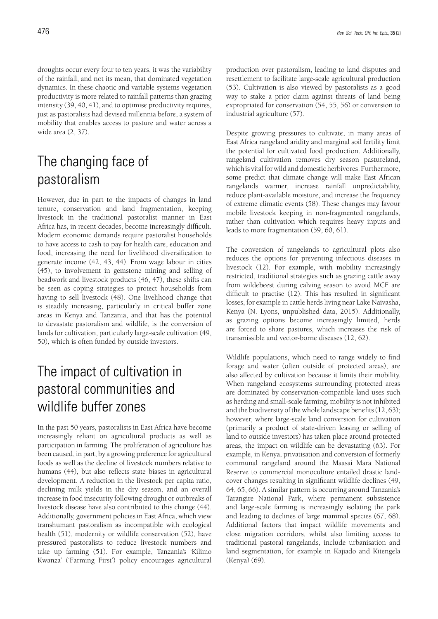droughts occur every four to ten years, it was the variability of the rainfall, and not its mean, that dominated vegetation dynamics. In these chaotic and variable systems vegetation productivity is more related to rainfall patterns than grazing intensity (39, 40, 41), and to optimise productivity requires, just as pastoralists had devised millennia before, a system of mobility that enables access to pasture and water across a wide area (2, 37).

# The changing face of pastoralism

However, due in part to the impacts of changes in land tenure, conservation and land fragmentation, keeping livestock in the traditional pastoralist manner in East Africa has, in recent decades, become increasingly difficult. Modern economic demands require pastoralist households to have access to cash to pay for health care, education and food, increasing the need for livelihood diversification to generate income (42, 43, 44). From wage labour in cities (45), to involvement in gemstone mining and selling of beadwork and livestock products (46, 47), these shifts can be seen as coping strategies to protect households from having to sell livestock (48). One livelihood change that is steadily increasing, particularly in critical buffer zone areas in Kenya and Tanzania, and that has the potential to devastate pastoralism and wildlife, is the conversion of lands for cultivation, particularly large-scale cultivation (49, 50), which is often funded by outside investors.

# The impact of cultivation in pastoral communities and wildlife buffer zones

In the past 50 years, pastoralists in East Africa have become increasingly reliant on agricultural products as well as participation in farming. The proliferation of agriculture has been caused, in part, by a growing preference for agricultural foods as well as the decline of livestock numbers relative to humans (44), but also reflects state biases in agricultural development. A reduction in the livestock per capita ratio, declining milk yields in the dry season, and an overall increase in food insecurity following drought or outbreaks of livestock disease have also contributed to this change (44). Additionally, government policies in East Africa, which view transhumant pastoralism as incompatible with ecological health (51), modernity or wildlife conservation (52), have pressured pastoralists to reduce livestock numbers and take up farming (51). For example, Tanzania's 'Kilimo Kwanza' ('Farming First') policy encourages agricultural

production over pastoralism, leading to land disputes and resettlement to facilitate large-scale agricultural production (53). Cultivation is also viewed by pastoralists as a good way to stake a prior claim against threats of land being expropriated for conservation (54, 55, 56) or conversion to industrial agriculture (57).

Despite growing pressures to cultivate, in many areas of East Africa rangeland aridity and marginal soil fertility limit the potential for cultivated food production. Additionally, rangeland cultivation removes dry season pastureland, which is vital for wild and domestic herbivores. Furthermore, some predict that climate change will make East African rangelands warmer, increase rainfall unpredictability, reduce plant-available moisture, and increase the frequency of extreme climatic events (58). These changes may favour mobile livestock keeping in non-fragmented rangelands, rather than cultivation which requires heavy inputs and leads to more fragmentation (59, 60, 61).

The conversion of rangelands to agricultural plots also reduces the options for preventing infectious diseases in livestock (12). For example, with mobility increasingly restricted, traditional strategies such as grazing cattle away from wildebeest during calving season to avoid MCF are difficult to practise (12). This has resulted in significant losses, for example in cattle herds living near Lake Naivasha, Kenya (N. Lyons, unpublished data, 2015). Additionally, as grazing options become increasingly limited, herds are forced to share pastures, which increases the risk of transmissible and vector-borne diseases (12, 62).

Wildlife populations, which need to range widely to find forage and water (often outside of protected areas), are also affected by cultivation because it limits their mobility. When rangeland ecosystems surrounding protected areas are dominated by conservation-compatible land uses such as herding and small-scale farming, mobility is not inhibited and the biodiversity of the whole landscape benefits (12, 63); however, where large-scale land conversion for cultivation (primarily a product of state-driven leasing or selling of land to outside investors) has taken place around protected areas, the impact on wildlife can be devastating (63). For example, in Kenya, privatisation and conversion of formerly communal rangeland around the Maasai Mara National Reserve to commercial monoculture entailed drastic landcover changes resulting in significant wildlife declines (49, 64, 65, 66). A similar pattern is occurring around Tanzania's Tarangire National Park, where permanent subsistence and large-scale farming is increasingly isolating the park and leading to declines of large mammal species (67, 68). Additional factors that impact wildlife movements and close migration corridors, whilst also limiting access to traditional pastoral rangelands, include urbanisation and land segmentation, for example in Kajiado and Kitengela (Kenya) (69).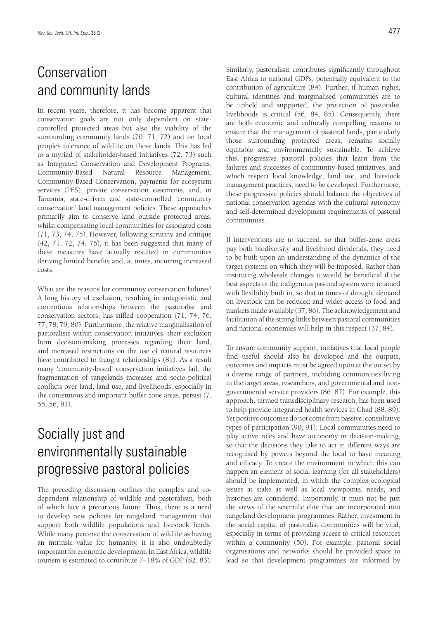# Conservation and community lands

In recent years, therefore, it has become apparent that conservation goals are not only dependent on statecontrolled protected areas but also the viability of the surrounding community lands (70, 71, 72) and on local people's tolerance of wildlife on those lands. This has led to a myriad of stakeholder-based initiatives (72, 73) such as Integrated Conservation and Development Programs, Community-Based Natural Resource Management, Community-Based Conservation, payments for ecosystem services (PES), private conservation easements, and, in Tanzania, state-driven and state-controlled 'community conservation' land management policies. These approaches primarily aim to conserve land outside protected areas, whilst compensating local communities for associated costs (71, 73, 74, 75). However, following scrutiny and critique (42, 71, 72, 74, 76), it has been suggested that many of these measures have actually resulted in communities deriving limited benefits and, at times, incurring increased costs.

What are the reasons for community conservation failures? A long history of exclusion, resulting in antagonistic and contentious relationships between the pastoralist and conservation sectors, has stifled cooperation (71, 74, 76, 77, 78, 79, 80). Furthermore, the relative marginalisation of pastoralists within conservation initiatives, their exclusion from decision-making processes regarding their land, and increased restrictions on the use of natural resources have contributed to fraught relationships (81). As a result many 'community-based' conservation initiatives fail, the fragmentation of rangelands increases and socio-political conflicts over land, land use, and livelihoods, especially in the contentious and important buffer zone areas, persist (7, 55, 56, 81).

# Socially just and environmentally sustainable progressive pastoral policies

The preceding discussion outlines the complex and codependent relationship of wildlife and pastoralism, both of which face a precarious future. Thus, there is a need to develop new policies for rangeland management that support both wildlife populations and livestock herds. While many perceive the conservation of wildlife as having an intrinsic value for humanity, it is also undoubtedly important for economic development. In East Africa, wildlife tourism is estimated to contribute 7–18% of GDP (82, 83). Similarly, pastoralism contributes significantly throughout East Africa to national GDPs, potentially equivalent to the contribution of agriculture (84). Further, if human rights, cultural identities and marginalised communities are to be upheld and supported, the protection of pastoralist livelihoods is critical (56, 84, 85). Consequently, there are both economic and culturally compelling reasons to ensure that the management of pastoral lands, particularly those surrounding protected areas, remains socially equitable and environmentally sustainable. To achieve this, progressive pastoral policies that learn from the failures and successes of community-based initiatives, and which respect local knowledge, land use, and livestock management practices, need to be developed. Furthermore, these progressive policies should balance the objectives of national conservation agendas with the cultural autonomy and self-determined development requirements of pastoral communities.

If interventions are to succeed, so that buffer-zone areas pay both biodiversity and livelihood dividends, they need to be built upon an understanding of the dynamics of the target systems on which they will be imposed. Rather than instituting wholesale changes it would be beneficial if the best aspects of the indigenous pastoral system were retained with flexibility built in, so that in times of drought demand on livestock can be reduced and wider access to food and markets made available (37, 86). The acknowledgement and facilitation of the strong links between pastoral communities and national economies will help in this respect (37, 84).

To ensure community support, initiatives that local people find useful should also be developed and the outputs, outcomes and impacts must be agreed upon at the outset by a diverse range of partners, including communities living in the target areas, researchers, and governmental and nongovernmental service providers (86, 87). For example, this approach, termed transdisciplinary research, has been used to help provide integrated health services in Chad (88, 89). Yet positive outcomes do not come from passive, consultative types of participation (90, 91). Local communities need to play active roles and have autonomy in decision-making, so that the decisions they take to act in different ways are recognised by powers beyond the local to have meaning and efficacy. To create the environment in which this can happen an element of social learning (for all stakeholders) should be implemented, in which the complex ecological issues at stake as well as local viewpoints, needs, and histories are considered. Importantly, it must not be just the views of the scientific elite that are incorporated into rangeland development programmes. Rather, investment in the social capital of pastoralist communities will be vital, especially in terms of providing access to critical resources within a community (50). For example, pastoral social organisations and networks should be provided space to lead so that development programmes are informed by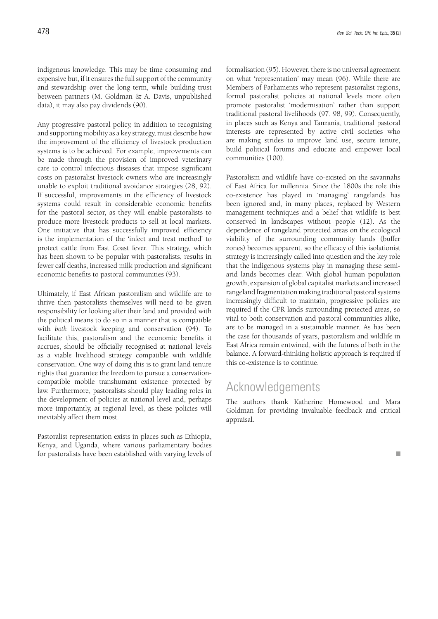indigenous knowledge. This may be time consuming and expensive but, if it ensures the full support of the community and stewardship over the long term, while building trust between partners (M. Goldman & A. Davis, unpublished data), it may also pay dividends (90).

Any progressive pastoral policy, in addition to recognising and supporting mobility as a key strategy, must describe how the improvement of the efficiency of livestock production systems is to be achieved. For example, improvements can be made through the provision of improved veterinary care to control infectious diseases that impose significant costs on pastoralist livestock owners who are increasingly unable to exploit traditional avoidance strategies (28, 92). If successful, improvements in the efficiency of livestock systems could result in considerable economic benefits for the pastoral sector, as they will enable pastoralists to produce more livestock products to sell at local markets. One initiative that has successfully improved efficiency is the implementation of the 'infect and treat method' to protect cattle from East Coast fever. This strategy, which has been shown to be popular with pastoralists, results in fewer calf deaths, increased milk production and significant economic benefits to pastoral communities (93).

Ultimately, if East African pastoralism and wildlife are to thrive then pastoralists themselves will need to be given responsibility for looking after their land and provided with the political means to do so in a manner that is compatible with *both* livestock keeping and conservation (94). To facilitate this, pastoralism and the economic benefits it accrues, should be officially recognised at national levels as a viable livelihood strategy compatible with wildlife conservation. One way of doing this is to grant land tenure rights that guarantee the freedom to pursue a conservationcompatible mobile transhumant existence protected by law. Furthermore, pastoralists should play leading roles in the development of policies at national level and, perhaps more importantly, at regional level, as these policies will inevitably affect them most.

Pastoralist representation exists in places such as Ethiopia, Kenya, and Uganda, where various parliamentary bodies for pastoralists have been established with varying levels of formalisation (95). However, there is no universal agreement on what 'representation' may mean (96). While there are Members of Parliaments who represent pastoralist regions, formal pastoralist policies at national levels more often promote pastoralist 'modernisation' rather than support traditional pastoral livelihoods (97, 98, 99). Consequently, in places such as Kenya and Tanzania, traditional pastoral interests are represented by active civil societies who are making strides to improve land use, secure tenure, build political forums and educate and empower local communities (100).

Pastoralism and wildlife have co-existed on the savannahs of East Africa for millennia. Since the 1800s the role this co-existence has played in 'managing' rangelands has been ignored and, in many places, replaced by Western management techniques and a belief that wildlife is best conserved in landscapes without people (12). As the dependence of rangeland protected areas on the ecological viability of the surrounding community lands (buffer zones) becomes apparent, so the efficacy of this isolationist strategy is increasingly called into question and the key role that the indigenous systems play in managing these semiarid lands becomes clear. With global human population growth, expansion of global capitalist markets and increased rangeland fragmentation making traditional pastoral systems increasingly difficult to maintain, progressive policies are required if the CPR lands surrounding protected areas, so vital to both conservation and pastoral communities alike, are to be managed in a sustainable manner. As has been the case for thousands of years, pastoralism and wildlife in East Africa remain entwined, with the futures of both in the balance. A forward-thinking holistic approach is required if this co-existence is to continue.

### Acknowledgements

The authors thank Katherine Homewood and Mara Goldman for providing invaluable feedback and critical appraisal.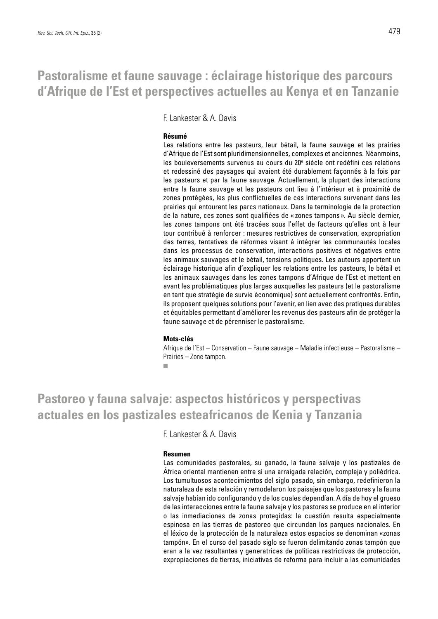### **Pastoralisme et faune sauvage : éclairage historique des parcours d'Afrique de l'Est et perspectives actuelles au Kenya et en Tanzanie**

F. Lankester & A. Davis

#### **Résumé**

Les relations entre les pasteurs, leur bétail, la faune sauvage et les prairies d'Afrique de l'Est sont pluridimensionnelles, complexes et anciennes. Néanmoins, les bouleversements survenus au cours du 20<sup>e</sup> siècle ont redéfini ces relations et redessiné des paysages qui avaient été durablement façonnés à la fois par les pasteurs et par la faune sauvage. Actuellement, la plupart des interactions entre la faune sauvage et les pasteurs ont lieu à l'intérieur et à proximité de zones protégées, les plus conflictuelles de ces interactions survenant dans les prairies qui entourent les parcs nationaux. Dans la terminologie de la protection de la nature, ces zones sont qualifiées de « zones tampons ». Au siècle dernier, les zones tampons ont été tracées sous l'effet de facteurs qu'elles ont à leur tour contribué à renforcer : mesures restrictives de conservation, expropriation des terres, tentatives de réformes visant à intégrer les communautés locales dans les processus de conservation, interactions positives et négatives entre les animaux sauvages et le bétail, tensions politiques. Les auteurs apportent un éclairage historique afin d'expliquer les relations entre les pasteurs, le bétail et les animaux sauvages dans les zones tampons d'Afrique de l'Est et mettent en avant les problématiques plus larges auxquelles les pasteurs (et le pastoralisme en tant que stratégie de survie économique) sont actuellement confrontés. Enfin, ils proposent quelques solutions pour l'avenir, en lien avec des pratiques durables et équitables permettant d'améliorer les revenus des pasteurs afin de protéger la faune sauvage et de pérenniser le pastoralisme.

#### **Mots-clés**

Afrique de l'Est – Conservation – Faune sauvage – Maladie infectieuse – Pastoralisme – Prairies – Zone tampon.

r.

### **Pastoreo y fauna salvaje: aspectos históricos y perspectivas actuales en los pastizales esteafricanos de Kenia y Tanzania**

F. Lankester & A. Davis

#### **Resumen**

Las comunidades pastorales, su ganado, la fauna salvaje y los pastizales de África oriental mantienen entre sí una arraigada relación, compleja y poliédrica. Los tumultuosos acontecimientos del siglo pasado, sin embargo, redefinieron la naturaleza de esta relación y remodelaron los paisajes que los pastores y la fauna salvaje habían ido configurando y de los cuales dependían. A día de hoy el grueso de las interacciones entre la fauna salvaje y los pastores se produce en el interior o las inmediaciones de zonas protegidas: la cuestión resulta especialmente espinosa en las tierras de pastoreo que circundan los parques nacionales. En el léxico de la protección de la naturaleza estos espacios se denominan «zonas tampón». En el curso del pasado siglo se fueron delimitando zonas tampón que eran a la vez resultantes y generatrices de políticas restrictivas de protección, expropiaciones de tierras, iniciativas de reforma para incluir a las comunidades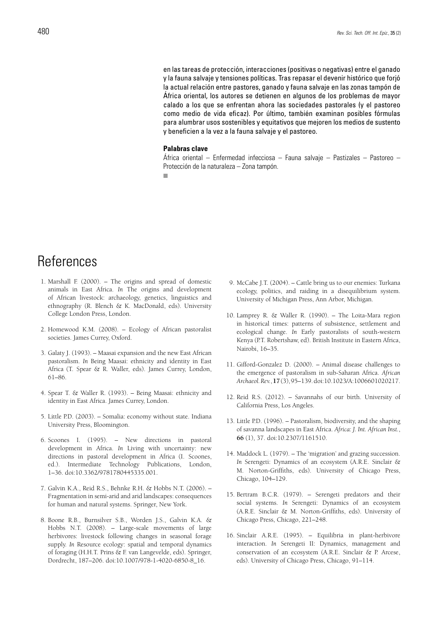en las tareas de protección, interacciones (positivas o negativas) entre el ganado y la fauna salvaje y tensiones políticas. Tras repasar el devenir histórico que forjó la actual relación entre pastores, ganado y fauna salvaje en las zonas tampón de África oriental, los autores se detienen en algunos de los problemas de mayor calado a los que se enfrentan ahora las sociedades pastorales (y el pastoreo como medio de vida eficaz). Por último, también examinan posibles fórmulas para alumbrar usos sostenibles y equitativos que mejoren los medios de sustento y beneficien a la vez a la fauna salvaje y el pastoreo.

#### **Palabras clave**

África oriental – Enfermedad infecciosa – Fauna salvaje – Pastizales – Pastoreo – Protección de la naturaleza – Zona tampón.

п

### References

- 1. Marshall F. (2000). The origins and spread of domestic animals in East Africa. *In* The origins and development of African livestock: archaeology, genetics, linguistics and ethnography (R. Blench & K. MacDonald, eds). University College London Press, London.
- 2. Homewood K.M. (2008). Ecology of African pastoralist societies. James Currey, Oxford.
- 3. Galaty J. (1993). Maasai expansion and the new East African pastoralism. *In* Being Maasai: ethnicity and identity in East Africa (T. Spear & R. Waller, eds). James Currey, London, 61–86.
- 4. Spear T. & Waller R. (1993). Being Maasai: ethnicity and identity in East Africa. James Currey, London.
- 5. Little P.D. (2003). Somalia: economy without state. Indiana University Press, Bloomington.
- 6. Scoones I. (1995). New directions in pastoral development in Africa. *In* Living with uncertainty: new directions in pastoral development in Africa (I. Scoones, ed.). Intermediate Technology Publications, London, 1–36. doi:10.3362/9781780445335.001.
- 7. Galvin K.A., Reid R.S., Behnke R.H. & Hobbs N.T. (2006). Fragmentation in semi-arid and arid landscapes: consequences for human and natural systems. Springer, New York.
- 8. Boone R.B., Burnsilver S.B., Worden J.S., Galvin K.A. & Hobbs N.T. (2008). – Large-scale movements of large herbivores: livestock following changes in seasonal forage supply. *In* Resource ecology: spatial and temporal dynamics of foraging (H.H.T. Prins & F. van Langevelde, eds). Springer, Dordrecht, 187–206. doi:10.1007/978-1-4020-6850-8\_16.
- 9. McCabe J.T. (2004). Cattle bring us to our enemies: Turkana ecology, politics, and raiding in a disequilibrium system. University of Michigan Press, Ann Arbor, Michigan.
- 10. Lamprey R. & Waller R. (1990). The Loita-Mara region in historical times: patterns of subsistence, settlement and ecological change. *In* Early pastoralists of south-western Kenya (P.T. Robertshaw, ed). British Institute in Eastern Africa, Nairobi, 16–35.
- 11. Gifford-Gonzalez D. (2000). Animal disease challenges to the emergence of pastoralism in sub-Saharan Africa. *African Archaeol. Rev.*, **17** (3), 95–139. doi:10.1023/A:1006601020217.
- 12. Reid R.S. (2012). Savannahs of our birth. University of California Press, Los Angeles.
- 13. Little P.D. (1996). Pastoralism, biodiversity, and the shaping of savanna landscapes in East Africa. *Africa: J. Int. African Inst.*, **66** (1), 37. doi:10.2307/1161510.
- 14. Maddock L. (1979). The 'migration' and grazing succession. *In* Serengeti: Dynamics of an ecosystem (A.R.E. Sinclair & M. Norton-Griffiths, eds). University of Chicago Press, Chicago, 104–129.
- 15. Bertram B.C.R. (1979). Serengeti predators and their social systems. *In* Serengeti: Dynamics of an ecosystem (A.R.E. Sinclair & M. Norton-Griffiths, eds). University of Chicago Press, Chicago, 221–248.
- 16. Sinclair A.R.E. (1995). Equilibria in plant-herbivore interaction. *In* Serengeti II: Dynamics, management and conservation of an ecosystem (A.R.E. Sinclair & P. Arcese, eds). University of Chicago Press, Chicago, 91–114.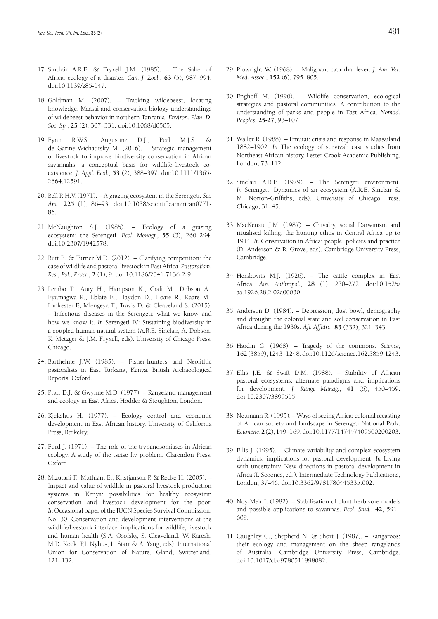- 17. Sinclair A.R.E. & Fryxell J.M. (1985). The Sahel of Africa: ecology of a disaster. *Can. J. Zool.*, **63** (5), 987–994. doi:10.1139/z85-147.
- 18. Goldman M. (2007). Tracking wildebeest, locating knowledge: Maasai and conservation biology understandings of wildebeest behavior in northern Tanzania. *Environ. Plan. D, Soc. Sp.*, **25** (2), 307–331. doi:10.1068/d0505.
- 19. Fynn R.W.S., Augustine D.J., Peel M.J.S. & de Garine-Wichatitsky M. (2016). – Strategic management of livestock to improve biodiversity conservation in African savannahs: a conceptual basis for wildlife–livestock coexistence. *J. Appl. Ecol.*, **53** (2), 388–397. doi:10.1111/1365- 2664.12591.
- 20. Bell R.H.V. (1971). A grazing ecosystem in the Serengeti. *Sci. Am.*, **225** (1), 86–93. doi:10.1038/scientificamerican0771- 86.
- 21. McNaughton S.J. (1985). Ecology of a grazing ecosystem: the Serengeti. *Ecol. Monogr.*, **55** (3), 260–294. doi:10.2307/1942578.
- 22. Butt B. & Turner M.D. (2012). Clarifying competition: the case of wildlife and pastoral livestock in East Africa. *Pastoralism: Res., Pol., Pract.*, **2** (1), 9. doi:10.1186/2041-7136-2-9.
- 23. Lembo T., Auty H., Hampson K., Craft M., Dobson A., Fyumagwa R., Eblate E., Haydon D., Hoare R., Kaare M., Lankester F., Mlengeya T., Travis D. & Cleaveland S. (2015). – Infectious diseases in the Serengeti: what we know and how we know it. *In* Serengeti IV: Sustaining biodiversity in a coupled human-natural system (A.R.E. Sinclair, A. Dobson, K. Metzger & J.M. Fryxell, eds). University of Chicago Press, Chicago.
- 24. Barthelme J.W. (1985). Fisher-hunters and Neolithic pastoralists in East Turkana, Kenya. British Archaeological Reports, Oxford.
- 25. Pratt D.J. & Gwynne M.D. (1977). Rangeland management and ecology in East Africa. Hodder & Stoughton, London.
- 26. Kjekshus H. (1977). Ecology control and economic development in East African history. University of California Press, Berkeley.
- 27. Ford J. (1971). The role of the trypanosomiases in African ecology. A study of the tsetse fly problem. Clarendon Press, Oxford.
- 28. Mizutani F., Muthiani E., Kristjanson P. & Recke H. (2005). Impact and value of wildlife in pastoral livestock production systems in Kenya: possibilities for healthy ecosystem conservation and livestock development for the poor. *In* Occasional paper of the IUCN Species Survival Commission, No. 30. Conservation and development interventions at the wildlife/livestock interface: implications for wildlife, livestock and human health (S.A. Osofsky, S. Cleaveland, W. Karesh, M.D. Kock, P.J. Nyhus, L. Starr & A. Yang, eds). International Union for Conservation of Nature, Gland, Switzerland, 121–132.
- 29. Plowright W. (1968). Malignant catarrhal fever. *J. Am. Vet. Med. Assoc.*, **152** (6), 795–805.
- 30. Enghoff M. (1990). Wildlife conservation, ecological strategies and pastoral communities. A contribution to the understanding of parks and people in East Africa. *Nomad. Peoples*, **25-27**, 93–107.
- 31. Waller R. (1988). Emutai: crisis and response in Maasailand 1882–1902. *In* The ecology of survival: case studies from Northeast African history. Lester Crook Academic Publishing, London, 73–112.
- 32. Sinclair A.R.E. (1979). The Serengeti environment. *In* Serengeti: Dynamics of an ecosystem (A.R.E. Sinclair & M. Norton-Griffiths, eds). University of Chicago Press, Chicago, 31–45.
- 33. MacKenzie J.M. (1987). Chivalry, social Darwinism and ritualised killing: the hunting ethos in Central Africa up to 1914. *In* Conservation in Africa: people, policies and practice (D. Anderson & R. Grove, eds). Cambridge University Press, Cambridge.
- 34. Herskovits M.J. (1926). The cattle complex in East Africa. *Am. Anthropol.*, **28** (1), 230–272. doi:10.1525/ aa.1926.28.2.02a00030.
- 35. Anderson D. (1984). Depression, dust bowl, demography and drought: the colonial state and soil conservation in East Africa during the 1930s. *Afr. Affairs*, **83** (332), 321–343.
- 36. Hardin G. (1968). Tragedy of the commons. *Science,* **162** (3859), 1243–1248. doi:10.1126/science.162.3859.1243.
- 37. Ellis J.E. & Swift D.M. (1988). Stability of African pastoral ecosystems: alternate paradigms and implications for development. *J. Range Manag.*, **41** (6), 450–459. doi:10.2307/3899515.
- 38. Neumann R. (1995). Ways of seeing Africa: colonial recasting of African society and landscape in Serengeti National Park. *Ecumene*, **2** (2), 149–169. doi:10.1177/147447409500200203.
- 39. Ellis J. (1995). Climate variability and complex ecosystem dynamics: implications for pastoral development. *In* Living with uncertainty. New directions in pastoral development in Africa (I. Scoones, ed.). Intermediate Technology Publications, London, 37–46. doi:10.3362/9781780445335.002.
- 40. Noy-Meir I. (1982). Stabilisation of plant-herbivore models and possible applications to savannas. *Ecol. Stud.*, **42**, 591– 609.
- 41. Caughley G., Shepherd N. & Short J. (1987). Kangaroos: their ecology and management on the sheep rangelands of Australia. Cambridge University Press, Cambridge. doi:10.1017/cbo9780511898082.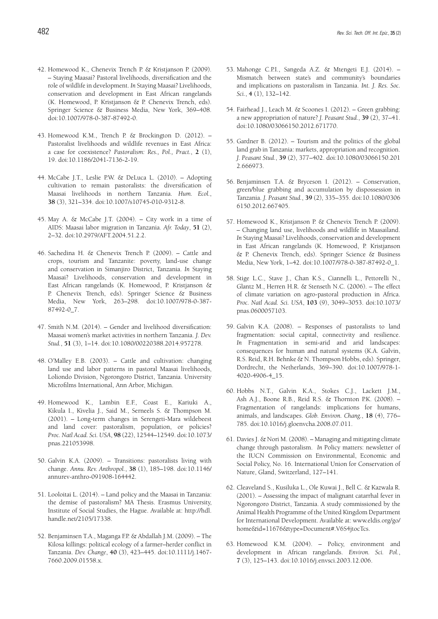- 42. Homewood K., Chenevix Trench P. & Kristjanson P. (2009). – Staying Maasai? Pastoral livelihoods, diversification and the role of wildlife in development. *In* Staying Maasai? Livelihoods, conservation and development in East African rangelands (K. Homewood, P. Kristjanson & P. Chenevix Trench, eds). Springer Science & Business Media, New York, 369–408. doi:10.1007/978-0-387-87492-0.
- 43. Homewood K.M., Trench P. & Brockington D. (2012). Pastoralist livelihoods and wildlife revenues in East Africa: a case for coexistence? *Pastoralism: Res., Pol., Pract.*, **2** (1), 19. doi:10.1186/2041-7136-2-19.
- 44. McCabe J.T., Leslie P.W. & DeLuca L. (2010). Adopting cultivation to remain pastoralists: the diversification of Maasai livelihoods in northern Tanzania. *Hum. Ecol.*, **38** (3), 321–334. doi:10.1007/s10745-010-9312-8.
- 45. May A. & McCabe J.T. (2004). City work in a time of AIDS: Maasai labor migration in Tanzania. *Afr. Today*, **51** (2), 2–32. doi:10.2979/AFT.2004.51.2.2.
- 46. Sachedina H. & Chenevix Trench P. (2009). Cattle and crops, tourism and Tanzanite: poverty, land-use change and conservation in Simanjiro District, Tanzania. *In* Staying Maasai? Livelihoods, conservation and development in East African rangelands (K. Homewood, P. Kristjanson & P. Chenevix Trench, eds). Springer Science & Business Media, New York, 263–298. doi:10.1007/978-0-387- 87492-0\_7.
- 47. Smith N.M. (2014). Gender and livelihood diversification: Maasai women's market activities in northern Tanzania. *J. Dev. Stud.*, **51** (3), 1–14. doi:10.1080/00220388.2014.957278.
- 48. O'Malley E.B. (2003). Cattle and cultivation: changing land use and labor patterns in pastoral Maasai livelihoods, Loliondo Division, Ngorongoro District, Tanzania. University Microfilms International, Ann Arbor, Michigan.
- 49. Homewood K., Lambin E.F., Coast E., Kariuki A., Kikula I., Kivelia J., Said M., Serneels S. & Thompson M. (2001). – Long-term changes in Serengeti-Mara wildebeest and land cover: pastoralism, population, or policies? *Proc. Natl Acad. Sci. USA*, **98** (22), 12544–12549. doi:10.1073/ pnas.221053998.
- 50. Galvin K.A. (2009). Transitions: pastoralists living with change. *Annu. Rev. Anthropol.*, **38** (1), 185–198. doi:10.1146/ annurev-anthro-091908-164442.
- 51. Looloitai L. (2014). Land policy and the Maasai in Tanzania: the demise of pastoralism? MA Thesis. Erasmus University, Institute of Social Studies, the Hague. Available at: http://hdl. handle.net/2105/17338.
- 52. Benjaminsen T.A., Maganga F.P. & Abdallah J.M. (2009). The Kilosa killings: political ecology of a farmer–herder conflict in Tanzania. *Dev. Change*, **40** (3), 423–445. doi:10.1111/j.1467- 7660.2009.01558.x.
- 53. Mahonge C.P.I., Sangeda A.Z. & Mtengeti E.J. (2014). Mismatch between state's and community's boundaries and implications on pastoralism in Tanzania. *Int. J. Res. Soc. Sci.*, **4** (1), 132–142.
- 54. Fairhead J., Leach M. & Scoones I. (2012). Green grabbing: a new appropriation of nature? *J. Peasant Stud.*, **39** (2), 37–41. doi:10.1080/03066150.2012.671770.
- 55. Gardner B. (2012). Tourism and the politics of the global land grab in Tanzania: markets, appropriation and recognition. *J. Peasant Stud.*, **39** (2), 377–402. doi:10.1080/03066150.201 2.666973.
- 56. Benjaminsen T.A. & Bryceson I. (2012). Conservation, green/blue grabbing and accumulation by dispossession in Tanzania. *J. Peasant Stud.*, **39** (2), 335–355. doi:10.1080/0306 6150.2012.667405.
- 57. Homewood K., Kristjanson P. & Chenevix Trench P. (2009). – Changing land use, livelihoods and wildlife in Maasailand. *In* Staying Maasai? Livelihoods, conservation and development in East African rangelands (K. Homewood, P. Kristjanson & P. Chenevix Trench, eds). Springer Science & Business Media, New York, 1–42. doi:10.1007/978-0-387-87492-0\_1.
- 58. Stige L.C., Stave J., Chan K.S., Ciannelli L., Pettorelli N., Glantz M., Herren H.R. & Stenseth N.C. (2006). – The effect of climate variation on agro-pastoral production in Africa. *Proc. Natl Acad. Sci. USA*, **103** (9), 3049–3053. doi:10.1073/ pnas.0600057103.
- 59. Galvin K.A. (2008). Responses of pastoralists to land fragmentation: social capital, connectivity and resilience. *In* Fragmentation in semi-arid and arid landscapes: consequences for human and natural systems (K.A. Galvin, R.S. Reid, R.H. Behnke & N. Thompson Hobbs, eds). Springer, Dordrecht, the Netherlands, 369–390. doi:10.1007/978-1- 4020-4906-4\_15.
- 60. Hobbs N.T., Galvin K.A., Stokes C.J., Lackett J.M., Ash A.J., Boone R.B., Reid R.S. & Thornton P.K. (2008). – Fragmentation of rangelands: implications for humans, animals, and landscapes. *Glob. Environ. Chang.*, **18** (4), 776– 785. doi:10.1016/j.gloenvcha.2008.07.011.
- 61. Davies J. & Nori M. (2008). Managing and mitigating climate change through pastoralism. *In* Policy matters: newsletter of the IUCN Commission on Environmental, Economic and Social Policy, No. 16. International Union for Conservation of Nature, Gland, Switzerland, 127–141.
- 62. Cleaveland S., Kusiluka L., Ole Kuwai J., Bell C. & Kazwala R. (2001). – Assessing the impact of malignant catarrhal fever in Ngorongoro District, Tanzania. A study commissioned by the Animal Health Programme of the United Kingdom Department for International Development. Available at: www.eldis.org/go/ home&id=11676&type=Document#.V6S4jtocTcs.
- 63. Homewood K.M. (2004). Policy, environment and development in African rangelands. *Environ. Sci. Pol.*, **7** (3), 125–143. doi:10.1016/j.envsci.2003.12.006.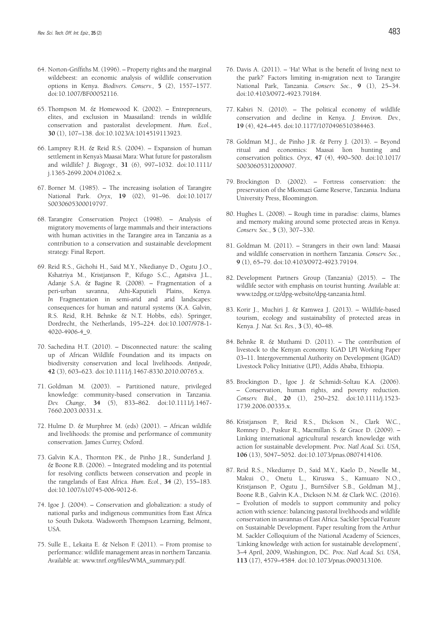- 64. Norton-Griffiths M. (1996). Property rights and the marginal wildebeest: an economic analysis of wildlife conservation options in Kenya. *Biodivers. Conserv.*, **5** (2), 1557–1577. doi:10.1007/BF00052116.
- 65. Thompson M. & Homewood K. (2002). Entrepreneurs, elites, and exclusion in Maasailand: trends in wildlife conservation and pastoralist development. *Hum. Ecol.*, **30** (1), 107–138. doi:10.1023/A:1014519113923.
- 66. Lamprey R.H. & Reid R.S. (2004). Expansion of human settlement in Kenya's Maasai Mara: What future for pastoralism and wildlife? *J. Biogeogr.*, **31** (6), 997–1032. doi:10.1111/ j.1365-2699.2004.01062.x.
- 67. Borner M. (1985). The increasing isolation of Tarangire National Park. *Oryx*, **19** (02), 91–96. doi:10.1017/ S0030605300019797.
- 68. Tarangire Conservation Project (1998). Analysis of migratory movements of large mammals and their interactions with human activities in the Tarangire area in Tanzania as a contribution to a conservation and sustainable development strategy. Final Report.
- 69. Reid R.S., Gichohi H., Said M.Y., Nkedianye D., Ogutu J.O., Kshatriya M., Kristjanson P., Kifugo S.C., Agatsiva J.L., Adanje S.A. & Bagine R. (2008). – Fragmentation of a peri-urban savanna, Athi-Kaputieli Plains, Kenya. *In* Fragmentation in semi-arid and arid landscapes: consequences for human and natural systems (K.A. Galvin, R.S. Reid, R.H. Behnke & N.T. Hobbs, eds). Springer, Dordrecht, the Netherlands, 195–224. doi:10.1007/978-1- 4020-4906-4\_9.
- 70. Sachedina H.T. (2010). Disconnected nature: the scaling up of African Wildlife Foundation and its impacts on biodiversity conservation and local livelihoods. *Antipode*, **42** (3), 603–623. doi:10.1111/j.1467-8330.2010.00765.x.
- 71. Goldman M. (2003). Partitioned nature, privileged knowledge: community-based conservation in Tanzania. *Dev. Change*, **34** (5), 833–862. doi:10.1111/j.1467- 7660.2003.00331.x.
- 72. Hulme D. & Murphree M. (eds) (2001). African wildlife and livelihoods: the promise and performance of community conservation. James Currey, Oxford.
- 73. Galvin K.A., Thornton P.K., de Pinho J.R., Sunderland J. & Boone R.B. (2006). – Integrated modeling and its potential for resolving conflicts between conservation and people in the rangelands of East Africa. *Hum. Ecol.*, **34** (2), 155–183. doi:10.1007/s10745-006-9012-6.
- 74. Igoe J. (2004). Conservation and globalization: a study of national parks and indigenous communities from East Africa to South Dakota. Wadsworth Thompson Learning, Belmont, USA.
- 75. Sulle E., Lekaita E. & Nelson F. (2011). From promise to performance: wildlife management areas in northern Tanzania. Available at: www.tnrf.org/files/WMA\_summary.pdf.
- 76. Davis A. (2011). 'Ha! What is the benefit of living next to the park?' Factors limiting in-migration next to Tarangire National Park, Tanzania. *Conserv. Soc.*, **9** (1), 25–34. doi:10.4103/0972-4923.79184.
- 77. Kabiri N. (2010). The political economy of wildlife conservation and decline in Kenya. *J. Environ. Dev.*, **19** (4), 424–445. doi:10.1177/1070496510384463.
- 78. Goldman M.J., de Pinho J.R. & Perry J. (2013). Beyond ritual and economics: Maasai lion hunting and conservation politics. *Oryx*, **47** (4), 490–500. doi:10.1017/ S0030605312000907.
- 79. Brockington D. (2002). Fortress conservation: the preservation of the Mkomazi Game Reserve, Tanzania. Indiana University Press, Bloomington.
- 80. Hughes L. (2008). Rough time in paradise: claims, blames and memory making around some protected areas in Kenya. *Conserv. Soc.*, **5** (3), 307–330.
- 81. Goldman M. (2011). Strangers in their own land: Maasai and wildlife conservation in northern Tanzania. *Conserv. Soc.*, **9** (1), 65–79. doi:10.4103/0972-4923.79194.
- 82. Development Partners Group (Tanzania) (2015). The wildlife sector with emphasis on tourist hunting. Available at: www.tzdpg.or.tz/dpg-website/dpg-tanzania.html.
- 83. Korir J., Muchiri J. & Kamwea J. (2013). Wildlife-based tourism, ecology and sustainability of protected areas in Kenya. *J. Nat. Sci. Res.*, **3** (3), 40–48.
- 84. Behnke R. & Muthami D. (2011). The contribution of livestock to the Kenyan economy. IGAD LPI Working Paper 03–11. Intergovernmental Authority on Development (IGAD) Livestock Policy Initiative (LPI), Addis Ababa, Ethiopia.
- 85. Brockington D., Igoe J. & Schmidt-Soltau K.A. (2006). – Conservation, human rights, and poverty reduction. *Conserv. Biol.*, **20** (1), 250–252. doi:10.1111/j.1523- 1739.2006.00335.x.
- 86. Kristjanson P., Reid R.S., Dickson N., Clark W.C., Romney D., Puskur R., Macmillan S. & Grace D. (2009). – Linking international agricultural research knowledge with action for sustainable development. *Proc. Natl Acad. Sci. USA*, **106** (13), 5047–5052. doi:10.1073/pnas.0807414106.
- 87. Reid R.S., Nkedianye D., Said M.Y., Kaelo D., Neselle M., Makui O., Onetu L., Kiruswa S., Kamuaro N.O., Kristjanson P., Ogutu J., BurnSilver S.B., Goldman M.J., Boone R.B., Galvin K.A., Dickson N.M. & Clark W.C. (2016). – Evolution of models to support community and policy action with science: balancing pastoral livelihoods and wildlife conservation in savannas of East Africa. Sackler Special Feature on Sustainable Development. Paper resulting from the Arthur M. Sackler Colloquium of the National Academy of Sciences, 'Linking knowledge with action for sustainable development', 3–4 April, 2009, Washington, DC. *Proc. Natl Acad. Sci. USA*, **113** (17), 4579–4584. doi:10.1073/pnas.0900313106.